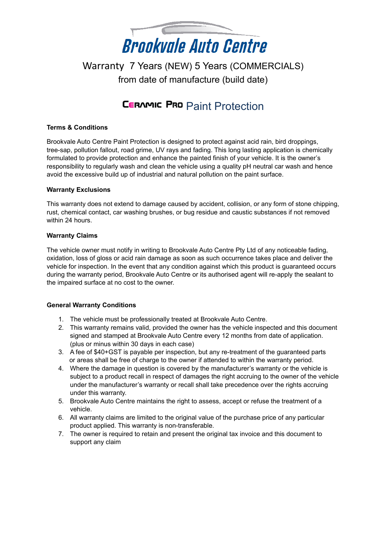

## Warranty 7 Years (NEW) 5 Years (COMMERCIALS) from date of manufacture (build date)

# **CERAMIC PRO Paint Protection**

## **Terms & Conditions**

Brookvale Auto Centre Paint Protection is designed to protect against acid rain, bird droppings, tree-sap, pollution fallout, road grime, UV rays and fading. This long lasting application is chemically formulated to provide protection and enhance the painted finish of your vehicle. It is the owner's responsibility to regularly wash and clean the vehicle using a quality pH neutral car wash and hence avoid the excessive build up of industrial and natural pollution on the paint surface.

### **Warranty Exclusions**

This warranty does not extend to damage caused by accident, collision, or any form of stone chipping, rust, chemical contact, car washing brushes, or bug residue and caustic substances if not removed within 24 hours.

## **Warranty Claims**

The vehicle owner must notify in writing to Brookvale Auto Centre Pty Ltd of any noticeable fading, oxidation, loss of gloss or acid rain damage as soon as such occurrence takes place and deliver the vehicle for inspection. In the event that any condition against which this product is guaranteed occurs during the warranty period, Brookvale Auto Centre or its authorised agent will re-apply the sealant to the impaired surface at no cost to the owner.

### **General Warranty Conditions**

- 1. The vehicle must be professionally treated at Brookvale Auto Centre.
- 2. This warranty remains valid, provided the owner has the vehicle inspected and this document signed and stamped at Brookvale Auto Centre every 12 months from date of application. (plus or minus within 30 days in each case)
- 3. A fee of \$40+GST is payable per inspection, but any re-treatment of the guaranteed parts or areas shall be free of charge to the owner if attended to within the warranty period.
- 4. Where the damage in question is covered by the manufacturer's warranty or the vehicle is subject to a product recall in respect of damages the right accruing to the owner of the vehicle under the manufacturer's warranty or recall shall take precedence over the rights accruing under this warranty.
- 5. Brookvale Auto Centre maintains the right to assess, accept or refuse the treatment of a vehicle.
- 6. All warranty claims are limited to the original value of the purchase price of any particular product applied. This warranty is non-transferable.
- 7. The owner is required to retain and present the original tax invoice and this document to support any claim